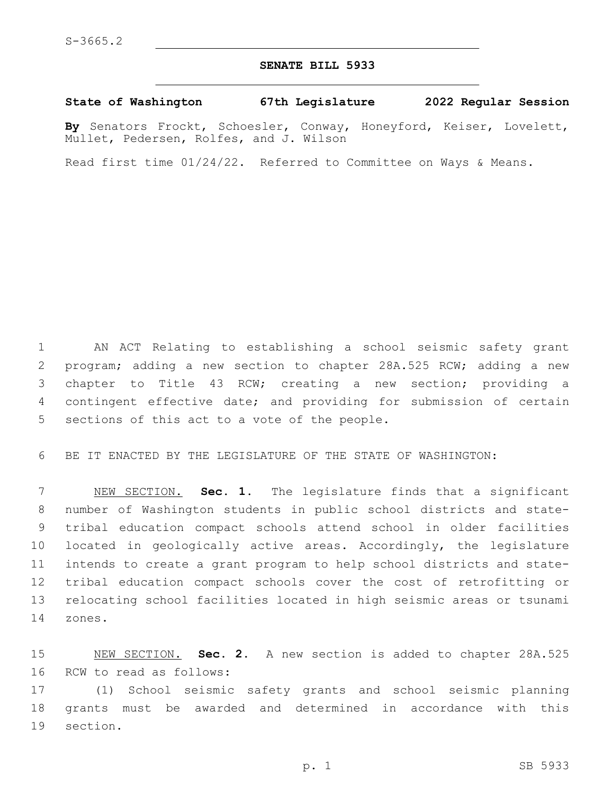## **SENATE BILL 5933**

## **State of Washington 67th Legislature 2022 Regular Session**

**By** Senators Frockt, Schoesler, Conway, Honeyford, Keiser, Lovelett, Mullet, Pedersen, Rolfes, and J. Wilson

Read first time 01/24/22. Referred to Committee on Ways & Means.

 AN ACT Relating to establishing a school seismic safety grant program; adding a new section to chapter 28A.525 RCW; adding a new chapter to Title 43 RCW; creating a new section; providing a contingent effective date; and providing for submission of certain 5 sections of this act to a vote of the people.

BE IT ENACTED BY THE LEGISLATURE OF THE STATE OF WASHINGTON:

 NEW SECTION. **Sec. 1.** The legislature finds that a significant number of Washington students in public school districts and state- tribal education compact schools attend school in older facilities located in geologically active areas. Accordingly, the legislature intends to create a grant program to help school districts and state- tribal education compact schools cover the cost of retrofitting or relocating school facilities located in high seismic areas or tsunami zones.

 NEW SECTION. **Sec. 2.** A new section is added to chapter 28A.525 16 RCW to read as follows:

 (1) School seismic safety grants and school seismic planning grants must be awarded and determined in accordance with this 19 section.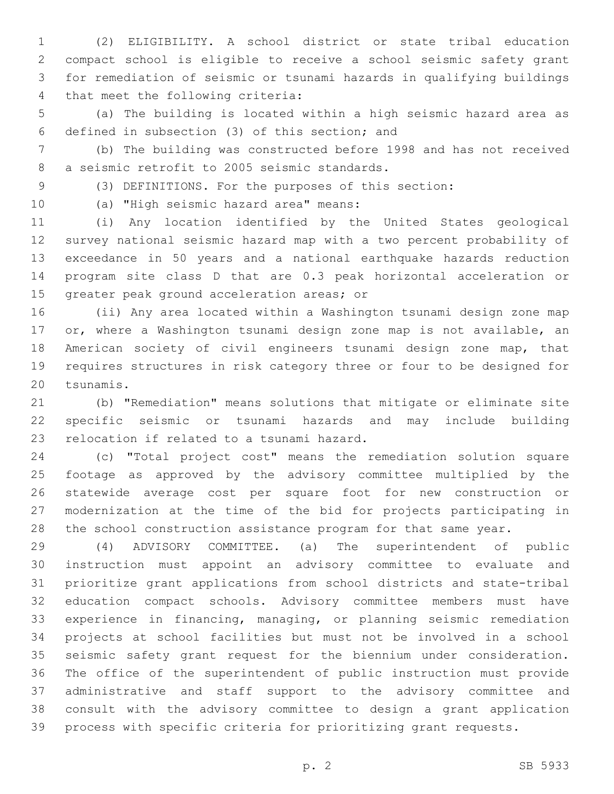(2) ELIGIBILITY. A school district or state tribal education compact school is eligible to receive a school seismic safety grant for remediation of seismic or tsunami hazards in qualifying buildings 4 that meet the following criteria:

 (a) The building is located within a high seismic hazard area as defined in subsection (3) of this section; and6

 (b) The building was constructed before 1998 and has not received 8 a seismic retrofit to 2005 seismic standards.

(3) DEFINITIONS. For the purposes of this section:

10 (a) "High seismic hazard area" means:

 (i) Any location identified by the United States geological survey national seismic hazard map with a two percent probability of exceedance in 50 years and a national earthquake hazards reduction program site class D that are 0.3 peak horizontal acceleration or 15 greater peak ground acceleration areas; or

 (ii) Any area located within a Washington tsunami design zone map or, where a Washington tsunami design zone map is not available, an American society of civil engineers tsunami design zone map, that requires structures in risk category three or four to be designed for 20 tsunamis.

 (b) "Remediation" means solutions that mitigate or eliminate site specific seismic or tsunami hazards and may include building 23 relocation if related to a tsunami hazard.

 (c) "Total project cost" means the remediation solution square footage as approved by the advisory committee multiplied by the statewide average cost per square foot for new construction or modernization at the time of the bid for projects participating in the school construction assistance program for that same year.

 (4) ADVISORY COMMITTEE. (a) The superintendent of public instruction must appoint an advisory committee to evaluate and prioritize grant applications from school districts and state-tribal education compact schools. Advisory committee members must have experience in financing, managing, or planning seismic remediation projects at school facilities but must not be involved in a school seismic safety grant request for the biennium under consideration. The office of the superintendent of public instruction must provide administrative and staff support to the advisory committee and consult with the advisory committee to design a grant application process with specific criteria for prioritizing grant requests.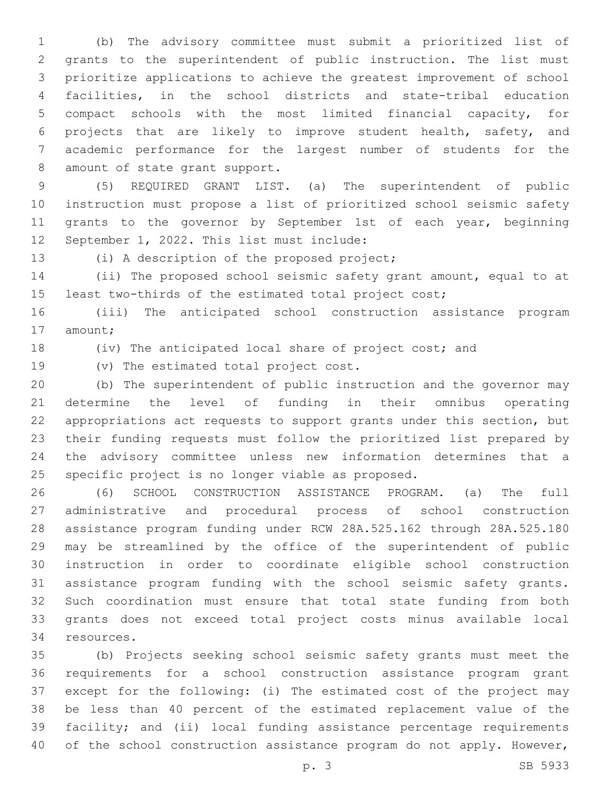(b) The advisory committee must submit a prioritized list of grants to the superintendent of public instruction. The list must prioritize applications to achieve the greatest improvement of school facilities, in the school districts and state-tribal education compact schools with the most limited financial capacity, for projects that are likely to improve student health, safety, and academic performance for the largest number of students for the 8 amount of state grant support.

 (5) REQUIRED GRANT LIST. (a) The superintendent of public instruction must propose a list of prioritized school seismic safety 11 grants to the governor by September 1st of each year, beginning 12 September 1, 2022. This list must include:

13 (i) A description of the proposed project;

 (ii) The proposed school seismic safety grant amount, equal to at least two-thirds of the estimated total project cost;

 (iii) The anticipated school construction assistance program 17 amount;

(iv) The anticipated local share of project cost; and

19 (v) The estimated total project cost.

 (b) The superintendent of public instruction and the governor may determine the level of funding in their omnibus operating appropriations act requests to support grants under this section, but their funding requests must follow the prioritized list prepared by the advisory committee unless new information determines that a 25 specific project is no longer viable as proposed.

 (6) SCHOOL CONSTRUCTION ASSISTANCE PROGRAM. (a) The full administrative and procedural process of school construction assistance program funding under RCW 28A.525.162 through 28A.525.180 may be streamlined by the office of the superintendent of public instruction in order to coordinate eligible school construction assistance program funding with the school seismic safety grants. Such coordination must ensure that total state funding from both grants does not exceed total project costs minus available local 34 resources.

 (b) Projects seeking school seismic safety grants must meet the requirements for a school construction assistance program grant except for the following: (i) The estimated cost of the project may be less than 40 percent of the estimated replacement value of the facility; and (ii) local funding assistance percentage requirements 40 of the school construction assistance program do not apply. However,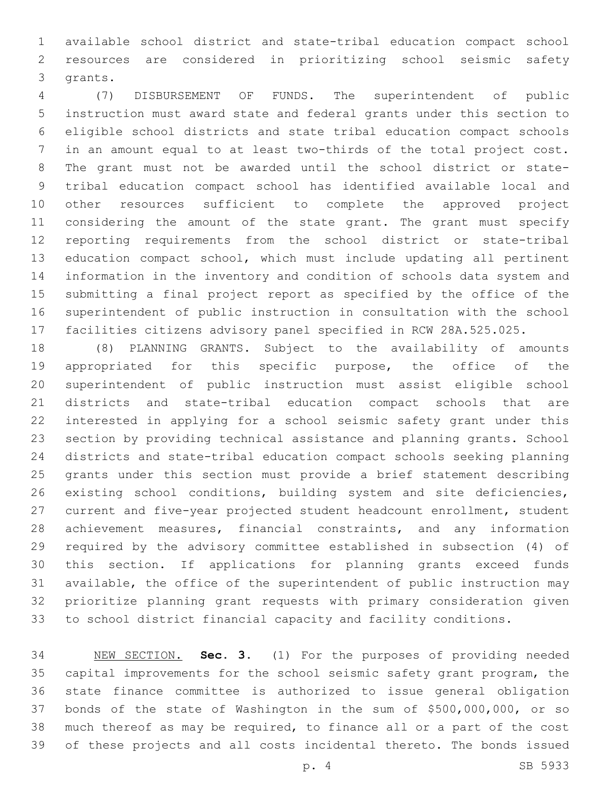available school district and state-tribal education compact school resources are considered in prioritizing school seismic safety 3 grants.

 (7) DISBURSEMENT OF FUNDS. The superintendent of public instruction must award state and federal grants under this section to eligible school districts and state tribal education compact schools in an amount equal to at least two-thirds of the total project cost. The grant must not be awarded until the school district or state- tribal education compact school has identified available local and other resources sufficient to complete the approved project 11 considering the amount of the state grant. The grant must specify reporting requirements from the school district or state-tribal education compact school, which must include updating all pertinent information in the inventory and condition of schools data system and submitting a final project report as specified by the office of the superintendent of public instruction in consultation with the school facilities citizens advisory panel specified in RCW 28A.525.025.

 (8) PLANNING GRANTS. Subject to the availability of amounts appropriated for this specific purpose, the office of the superintendent of public instruction must assist eligible school districts and state-tribal education compact schools that are interested in applying for a school seismic safety grant under this section by providing technical assistance and planning grants. School districts and state-tribal education compact schools seeking planning grants under this section must provide a brief statement describing existing school conditions, building system and site deficiencies, current and five-year projected student headcount enrollment, student achievement measures, financial constraints, and any information required by the advisory committee established in subsection (4) of this section. If applications for planning grants exceed funds available, the office of the superintendent of public instruction may prioritize planning grant requests with primary consideration given to school district financial capacity and facility conditions.

 NEW SECTION. **Sec. 3.** (1) For the purposes of providing needed capital improvements for the school seismic safety grant program, the state finance committee is authorized to issue general obligation bonds of the state of Washington in the sum of \$500,000,000, or so much thereof as may be required, to finance all or a part of the cost of these projects and all costs incidental thereto. The bonds issued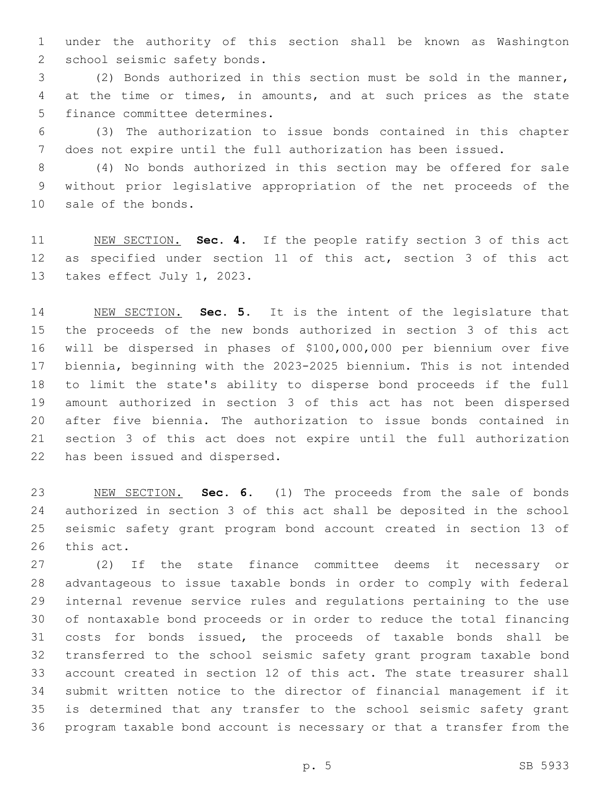under the authority of this section shall be known as Washington 2 school seismic safety bonds.

 (2) Bonds authorized in this section must be sold in the manner, at the time or times, in amounts, and at such prices as the state 5 finance committee determines.

 (3) The authorization to issue bonds contained in this chapter does not expire until the full authorization has been issued.

 (4) No bonds authorized in this section may be offered for sale without prior legislative appropriation of the net proceeds of the 10 sale of the bonds.

 NEW SECTION. **Sec. 4.** If the people ratify section 3 of this act as specified under section 11 of this act, section 3 of this act takes effect July 1, 2023.

 NEW SECTION. **Sec. 5.** It is the intent of the legislature that the proceeds of the new bonds authorized in section 3 of this act will be dispersed in phases of \$100,000,000 per biennium over five biennia, beginning with the 2023-2025 biennium. This is not intended to limit the state's ability to disperse bond proceeds if the full amount authorized in section 3 of this act has not been dispersed after five biennia. The authorization to issue bonds contained in section 3 of this act does not expire until the full authorization has been issued and dispersed.

 NEW SECTION. **Sec. 6.** (1) The proceeds from the sale of bonds authorized in section 3 of this act shall be deposited in the school seismic safety grant program bond account created in section 13 of this act.

 (2) If the state finance committee deems it necessary or advantageous to issue taxable bonds in order to comply with federal internal revenue service rules and regulations pertaining to the use of nontaxable bond proceeds or in order to reduce the total financing costs for bonds issued, the proceeds of taxable bonds shall be transferred to the school seismic safety grant program taxable bond account created in section 12 of this act. The state treasurer shall submit written notice to the director of financial management if it is determined that any transfer to the school seismic safety grant program taxable bond account is necessary or that a transfer from the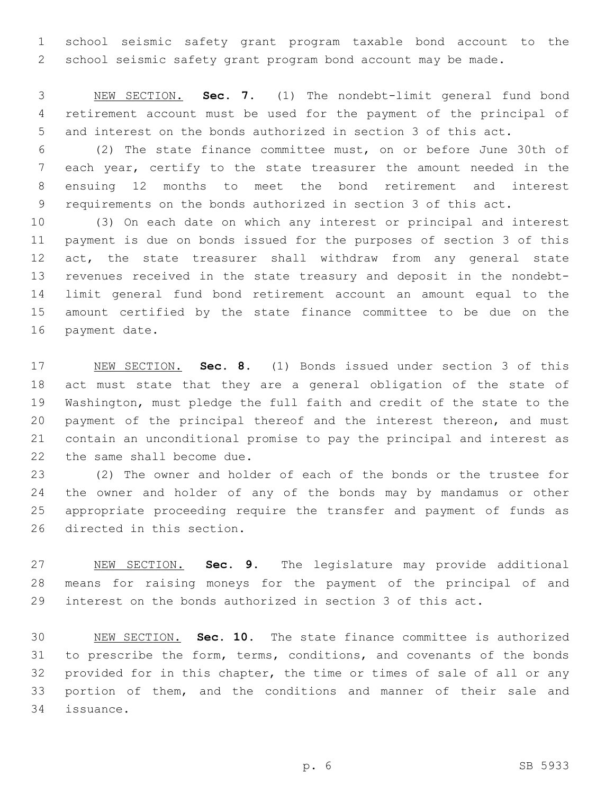school seismic safety grant program taxable bond account to the school seismic safety grant program bond account may be made.

 NEW SECTION. **Sec. 7.** (1) The nondebt-limit general fund bond retirement account must be used for the payment of the principal of and interest on the bonds authorized in section 3 of this act.

 (2) The state finance committee must, on or before June 30th of each year, certify to the state treasurer the amount needed in the ensuing 12 months to meet the bond retirement and interest requirements on the bonds authorized in section 3 of this act.

 (3) On each date on which any interest or principal and interest payment is due on bonds issued for the purposes of section 3 of this 12 act, the state treasurer shall withdraw from any general state revenues received in the state treasury and deposit in the nondebt- limit general fund bond retirement account an amount equal to the amount certified by the state finance committee to be due on the 16 payment date.

 NEW SECTION. **Sec. 8.** (1) Bonds issued under section 3 of this act must state that they are a general obligation of the state of Washington, must pledge the full faith and credit of the state to the payment of the principal thereof and the interest thereon, and must contain an unconditional promise to pay the principal and interest as the same shall become due.

 (2) The owner and holder of each of the bonds or the trustee for the owner and holder of any of the bonds may by mandamus or other appropriate proceeding require the transfer and payment of funds as 26 directed in this section.

 NEW SECTION. **Sec. 9.** The legislature may provide additional means for raising moneys for the payment of the principal of and interest on the bonds authorized in section 3 of this act.

 NEW SECTION. **Sec. 10.** The state finance committee is authorized to prescribe the form, terms, conditions, and covenants of the bonds provided for in this chapter, the time or times of sale of all or any portion of them, and the conditions and manner of their sale and issuance.